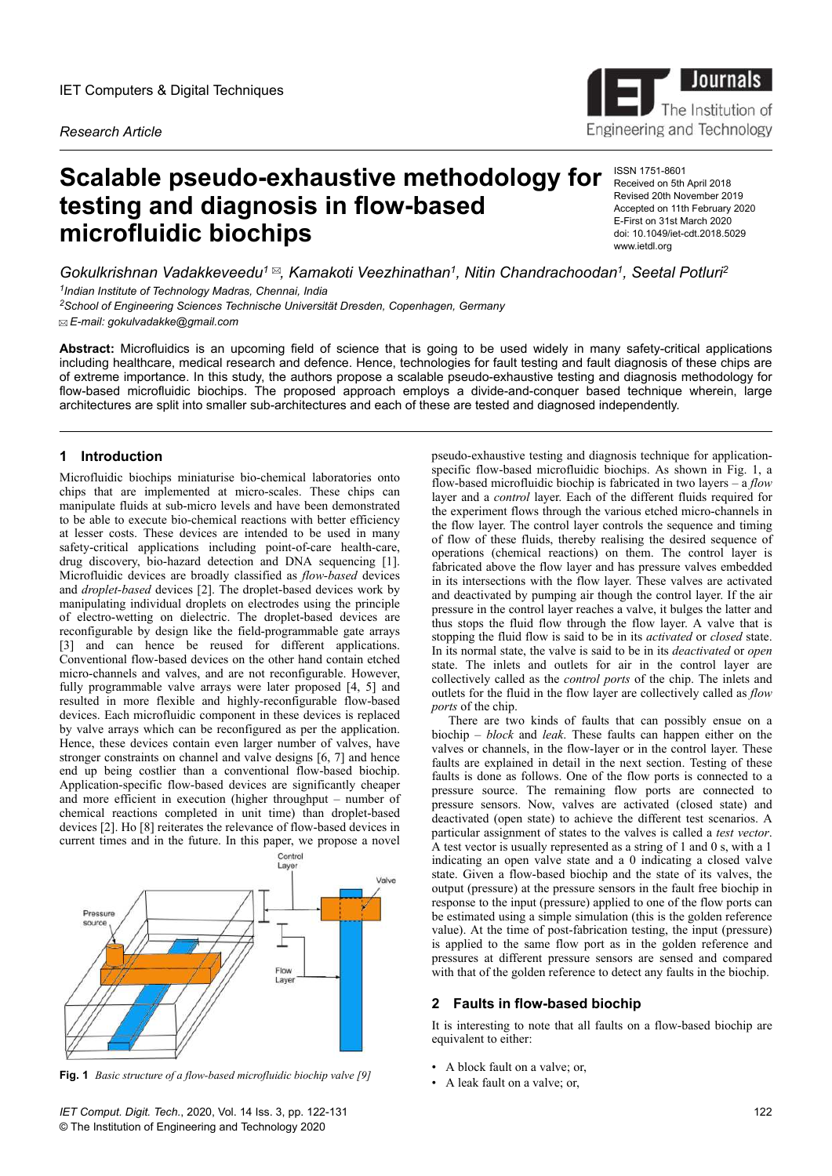*Research Article*

# **Scalable pseudo-exhaustive methodology for testing and diagnosis in flow-based microfluidic biochips**

ISSN 1751-8601 Received on 5th April 2018 Revised 20th November 2019 Accepted on 11th February 2020 E-First on 31st March 2020 doi: 10.1049/iet-cdt.2018.5029 www.ietdl.org

Engineering and Technology

Journa

The Institution of

*Gokulkrishnan Vadakkeveedu<sup>1</sup> , Kamakoti Veezhinathan<sup>1</sup> , Nitin Chandrachoodan<sup>1</sup> , Seetal Potluri<sup>2</sup> 1 Indian Institute of Technology Madras, Chennai, India*

*<sup>2</sup>School of Engineering Sciences Technische Universität Dresden, Copenhagen, Germany E-mail: gokulvadakke@gmail.com*

**Abstract:** Microfluidics is an upcoming field of science that is going to be used widely in many safety-critical applications including healthcare, medical research and defence. Hence, technologies for fault testing and fault diagnosis of these chips are of extreme importance. In this study, the authors propose a scalable pseudo-exhaustive testing and diagnosis methodology for flow-based microfluidic biochips. The proposed approach employs a divide-and-conquer based technique wherein, large architectures are split into smaller sub-architectures and each of these are tested and diagnosed independently.

## **1 Introduction**

Microfluidic biochips miniaturise bio-chemical laboratories onto chips that are implemented at micro-scales. These chips can manipulate fluids at sub-micro levels and have been demonstrated to be able to execute bio-chemical reactions with better efficiency at lesser costs. These devices are intended to be used in many safety-critical applications including point-of-care health-care, drug discovery, bio-hazard detection and DNA sequencing [1]. Microfluidic devices are broadly classified as *flow-based* devices and *droplet-based* devices [2]. The droplet-based devices work by manipulating individual droplets on electrodes using the principle of electro-wetting on dielectric. The droplet-based devices are reconfigurable by design like the field-programmable gate arrays [3] and can hence be reused for different applications. Conventional flow-based devices on the other hand contain etched micro-channels and valves, and are not reconfigurable. However, fully programmable valve arrays were later proposed [4, 5] and resulted in more flexible and highly-reconfigurable flow-based devices. Each microfluidic component in these devices is replaced by valve arrays which can be reconfigured as per the application. Hence, these devices contain even larger number of valves, have stronger constraints on channel and valve designs [6, 7] and hence end up being costlier than a conventional flow-based biochip. Application-specific flow-based devices are significantly cheaper and more efficient in execution (higher throughput – number of chemical reactions completed in unit time) than droplet-based devices [2]. Ho [8] reiterates the relevance of flow-based devices in current times and in the future. In this paper, we propose a novel



**• Fig. 1** *Basic structure of a flow-based microfluidic biochip valve [9]*<br>• A leak fault on a valve; or,

pseudo-exhaustive testing and diagnosis technique for applicationspecific flow-based microfluidic biochips. As shown in Fig. 1, a flow-based microfluidic biochip is fabricated in two layers – a *flow* layer and a *control* layer. Each of the different fluids required for the experiment flows through the various etched micro-channels in the flow layer. The control layer controls the sequence and timing of flow of these fluids, thereby realising the desired sequence of operations (chemical reactions) on them. The control layer is fabricated above the flow layer and has pressure valves embedded in its intersections with the flow layer. These valves are activated and deactivated by pumping air though the control layer. If the air pressure in the control layer reaches a valve, it bulges the latter and thus stops the fluid flow through the flow layer. A valve that is stopping the fluid flow is said to be in its *activated* or *closed* state. In its normal state, the valve is said to be in its *deactivated* or *open* state. The inlets and outlets for air in the control layer are collectively called as the *control ports* of the chip. The inlets and outlets for the fluid in the flow layer are collectively called as *flow ports* of the chip.

There are two kinds of faults that can possibly ensue on a biochip – *block* and *leak*. These faults can happen either on the valves or channels, in the flow-layer or in the control layer. These faults are explained in detail in the next section. Testing of these faults is done as follows. One of the flow ports is connected to a pressure source. The remaining flow ports are connected to pressure sensors. Now, valves are activated (closed state) and deactivated (open state) to achieve the different test scenarios. A particular assignment of states to the valves is called a *test vector*. A test vector is usually represented as a string of 1 and 0 s, with a 1 indicating an open valve state and a 0 indicating a closed valve state. Given a flow-based biochip and the state of its valves, the output (pressure) at the pressure sensors in the fault free biochip in response to the input (pressure) applied to one of the flow ports can be estimated using a simple simulation (this is the golden reference value). At the time of post-fabrication testing, the input (pressure) is applied to the same flow port as in the golden reference and pressures at different pressure sensors are sensed and compared with that of the golden reference to detect any faults in the biochip.

## **2 Faults in flow-based biochip**

It is interesting to note that all faults on a flow-based biochip are equivalent to either:

- A block fault on a valve; or,
-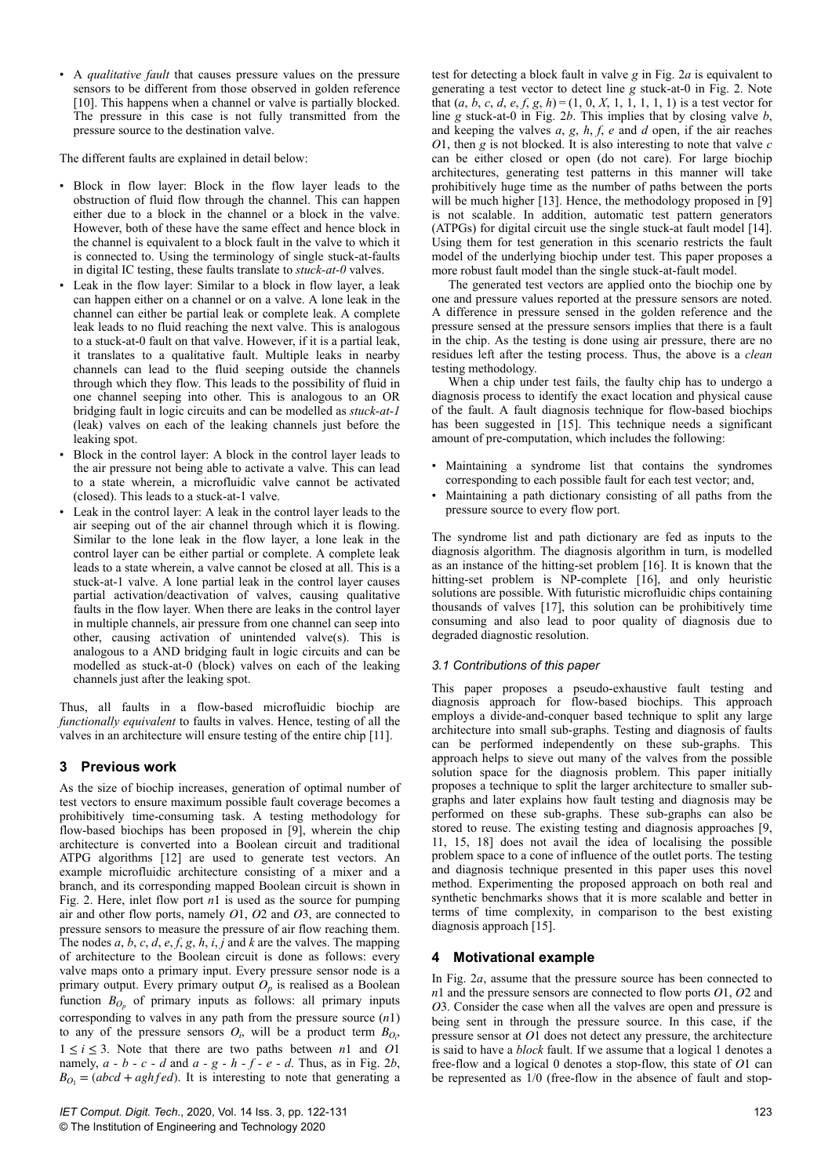• A *qualitative fault* that causes pressure values on the pressure sensors to be different from those observed in golden reference [10]. This happens when a channel or valve is partially blocked. The pressure in this case is not fully transmitted from the pressure source to the destination valve.

The different faults are explained in detail below:

- Block in flow layer: Block in the flow layer leads to the obstruction of fluid flow through the channel. This can happen either due to a block in the channel or a block in the valve. However, both of these have the same effect and hence block in the channel is equivalent to a block fault in the valve to which it is connected to. Using the terminology of single stuck-at-faults in digital IC testing, these faults translate to *stuck-at-0* valves.
- Leak in the flow layer: Similar to a block in flow layer, a leak can happen either on a channel or on a valve. A lone leak in the channel can either be partial leak or complete leak. A complete leak leads to no fluid reaching the next valve. This is analogous to a stuck-at-0 fault on that valve. However, if it is a partial leak, it translates to a qualitative fault. Multiple leaks in nearby channels can lead to the fluid seeping outside the channels through which they flow. This leads to the possibility of fluid in one channel seeping into other. This is analogous to an OR bridging fault in logic circuits and can be modelled as *stuck-at-1* (leak) valves on each of the leaking channels just before the leaking spot.
- Block in the control layer: A block in the control layer leads to the air pressure not being able to activate a valve. This can lead to a state wherein, a microfluidic valve cannot be activated (closed). This leads to a stuck-at-1 valve.
- Leak in the control layer: A leak in the control layer leads to the air seeping out of the air channel through which it is flowing. Similar to the lone leak in the flow layer, a lone leak in the control layer can be either partial or complete. A complete leak leads to a state wherein, a valve cannot be closed at all. This is a stuck-at-1 valve. A lone partial leak in the control layer causes partial activation/deactivation of valves, causing qualitative faults in the flow layer. When there are leaks in the control layer in multiple channels, air pressure from one channel can seep into other, causing activation of unintended valve(s). This is analogous to a AND bridging fault in logic circuits and can be modelled as stuck-at-0 (block) valves on each of the leaking channels just after the leaking spot.

Thus, all faults in a flow-based microfluidic biochip are *functionally equivalent* to faults in valves. Hence, testing of all the valves in an architecture will ensure testing of the entire chip [11].

# **3 Previous work**

As the size of biochip increases, generation of optimal number of test vectors to ensure maximum possible fault coverage becomes a prohibitively time-consuming task. A testing methodology for flow-based biochips has been proposed in [9], wherein the chip architecture is converted into a Boolean circuit and traditional ATPG algorithms [12] are used to generate test vectors. An example microfluidic architecture consisting of a mixer and a branch, and its corresponding mapped Boolean circuit is shown in Fig. 2. Here, inlet flow port *n*1 is used as the source for pumping air and other flow ports, namely *O*1, *O*2 and *O*3, are connected to pressure sensors to measure the pressure of air flow reaching them. The nodes *a*, *b*, *c*, *d*, *e*, *f*, *g*, *h*, *i*, *j* and *k* are the valves. The mapping of architecture to the Boolean circuit is done as follows: every valve maps onto a primary input. Every pressure sensor node is a primary output. Every primary output  $O_p$  is realised as a Boolean function  $B_{O_p}$  of primary inputs as follows: all primary inputs corresponding to valves in any path from the pressure source (*n*1) to any of the pressure sensors  $O_i$ , will be a product term  $B_{O_i}$ ,  $1 \le i \le 3$ . Note that there are two paths between *n*1 and *O*1 namely,  $a - b - c - d$  and  $a - g - h - f - e - d$ . Thus, as in Fig. 2*b*,  $B_{O_1} = (abcd + aghfed)$ . It is interesting to note that generating a

test for detecting a block fault in valve *g* in Fig. 2*a* is equivalent to generating a test vector to detect line *g* stuck-at-0 in Fig. 2. Note that  $(a, b, c, d, e, f, g, h) = (1, 0, X, 1, 1, 1, 1, 1)$  is a test vector for line *g* stuck-at-0 in Fig. 2*b*. This implies that by closing valve *b*, and keeping the valves *a*, *g*, *h*, *f*, *e* and *d* open, if the air reaches *O*1, then *g* is not blocked. It is also interesting to note that valve *c* can be either closed or open (do not care). For large biochip architectures, generating test patterns in this manner will take prohibitively huge time as the number of paths between the ports will be much higher [13]. Hence, the methodology proposed in [9] is not scalable. In addition, automatic test pattern generators (ATPGs) for digital circuit use the single stuck-at fault model [14]. Using them for test generation in this scenario restricts the fault model of the underlying biochip under test. This paper proposes a more robust fault model than the single stuck-at-fault model.

The generated test vectors are applied onto the biochip one by one and pressure values reported at the pressure sensors are noted. A difference in pressure sensed in the golden reference and the pressure sensed at the pressure sensors implies that there is a fault in the chip. As the testing is done using air pressure, there are no residues left after the testing process. Thus, the above is a *clean* testing methodology.

When a chip under test fails, the faulty chip has to undergo a diagnosis process to identify the exact location and physical cause of the fault. A fault diagnosis technique for flow-based biochips has been suggested in [15]. This technique needs a significant amount of pre-computation, which includes the following:

- Maintaining a syndrome list that contains the syndromes corresponding to each possible fault for each test vector; and,
- Maintaining a path dictionary consisting of all paths from the pressure source to every flow port.

The syndrome list and path dictionary are fed as inputs to the diagnosis algorithm. The diagnosis algorithm in turn, is modelled as an instance of the hitting-set problem [16]. It is known that the hitting-set problem is NP-complete [16], and only heuristic solutions are possible. With futuristic microfluidic chips containing thousands of valves [17], this solution can be prohibitively time consuming and also lead to poor quality of diagnosis due to degraded diagnostic resolution.

# *3.1 Contributions of this paper*

This paper proposes a pseudo-exhaustive fault testing and diagnosis approach for flow-based biochips. This approach employs a divide-and-conquer based technique to split any large architecture into small sub-graphs. Testing and diagnosis of faults can be performed independently on these sub-graphs. This approach helps to sieve out many of the valves from the possible solution space for the diagnosis problem. This paper initially proposes a technique to split the larger architecture to smaller subgraphs and later explains how fault testing and diagnosis may be performed on these sub-graphs. These sub-graphs can also be stored to reuse. The existing testing and diagnosis approaches [9, 11, 15, 18] does not avail the idea of localising the possible problem space to a cone of influence of the outlet ports. The testing and diagnosis technique presented in this paper uses this novel method. Experimenting the proposed approach on both real and synthetic benchmarks shows that it is more scalable and better in terms of time complexity, in comparison to the best existing diagnosis approach  $\overline{15}$ .

# **4 Motivational example**

In Fig. 2*a*, assume that the pressure source has been connected to *n*1 and the pressure sensors are connected to flow ports *O*1, *O*2 and *O*3. Consider the case when all the valves are open and pressure is being sent in through the pressure source. In this case, if the pressure sensor at *O*1 does not detect any pressure, the architecture is said to have a *block* fault. If we assume that a logical 1 denotes a free-flow and a logical 0 denotes a stop-flow, this state of *O*1 can be represented as 1/0 (free-flow in the absence of fault and stop-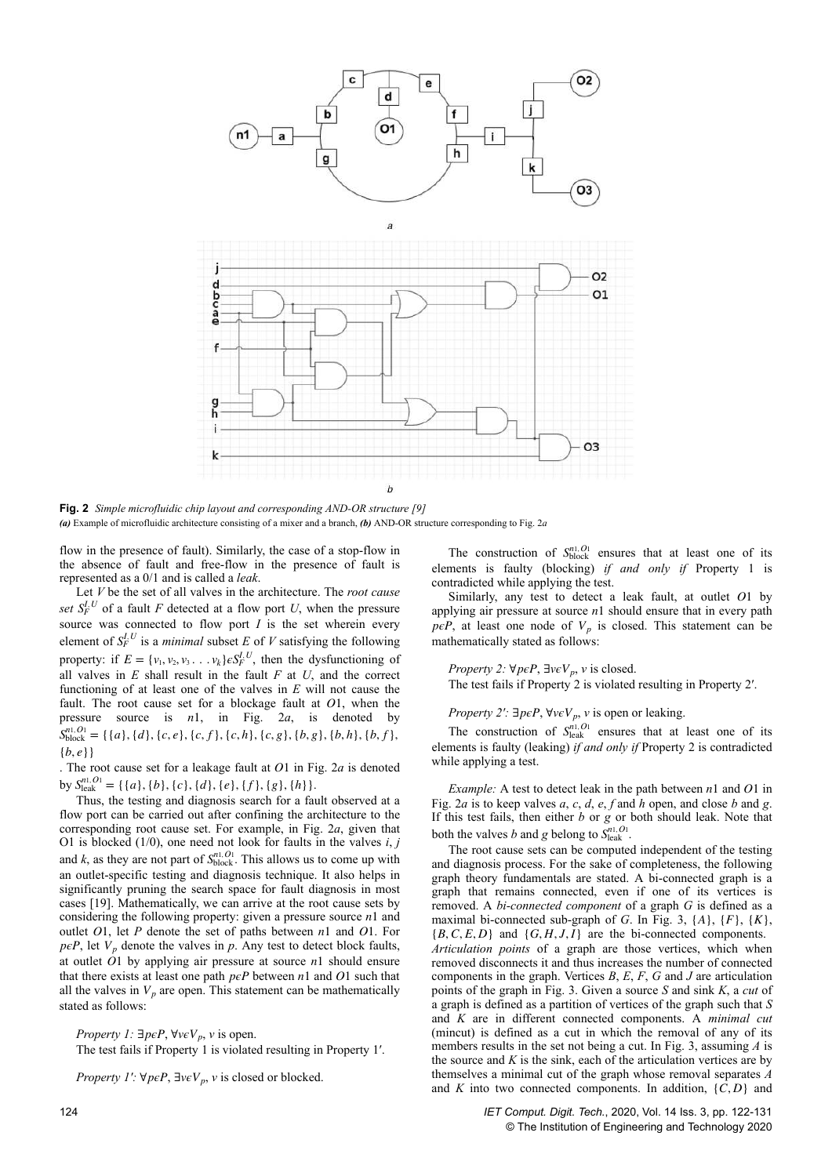

**Fig. 2** *Simple microfluidic chip layout and corresponding AND-OR structure [9] (a)* Example of microfluidic architecture consisting of a mixer and a branch, *(b)* AND-OR structure corresponding to Fig. 2*a*

flow in the presence of fault). Similarly, the case of a stop-flow in the absence of fault and free-flow in the presence of fault is represented as a 0/1 and is called a *leak*.

Let *V* be the set of all valves in the architecture. The *root cause* set  $S_F^{I,U}$  of a fault *F* detected at a flow port *U*, when the pressure source was connected to flow port *I* is the set wherein every element of  $S_F^{I,U}$  is a *minimal* subset *E* of *V* satisfying the following property: if  $E = \{v_1, v_2, v_3, \dots, v_k\} \in S_F^{I, U}$ , then the dysfunctioning of all valves in *E* shall result in the fault *F* at *U*, and the correct functioning of at least one of the valves in *E* will not cause the fault. The root cause set for a blockage fault at *O*1, when the pressure source is *n*1, in Fig. 2*a*, is denoted by  $S_{block}^{n1, O1} = \{ \{a\}, \{d\}, \{c, e\}, \{c, f\}, \{c, h\}, \{c, g\}, \{b, g\}, \{b, h\}, \{b, f\},\$ {*b*, *e*}}

. The root cause set for a leakage fault at *O*1 in Fig. 2*a* is denoted by  $S_{\text{leak}}^{n1, O_1} = \{ \{a\}, \{b\}, \{c\}, \{d\}, \{e\}, \{f\}, \{g\}, \{h\} \}.$ 

Thus, the testing and diagnosis search for a fault observed at a flow port can be carried out after confining the architecture to the corresponding root cause set. For example, in Fig. 2*a*, given that O1 is blocked (1/0), one need not look for faults in the valves *i*, *j* and *k*, as they are not part of  $S_{block}^{n1, O_1}$ . This allows us to come up with an outlet-specific testing and diagnosis technique. It also helps in significantly pruning the search space for fault diagnosis in most cases [19]. Mathematically, we can arrive at the root cause sets by considering the following property: given a pressure source *n*1 and outlet *O*1, let *P* denote the set of paths between *n*1 and *O*1. For  $p\epsilon P$ , let  $V_p$  denote the valves in  $p$ . Any test to detect block faults, at outlet *O*1 by applying air pressure at source *n*1 should ensure that there exists at least one path  $peP$  between  $n1$  and  $O1$  such that all the valves in  $V_p$  are open. This statement can be mathematically stated as follows:

*Property 1:*  $\exists p \in P$ ,  $\forall v \in V_p$ , *v* is open.

The test fails if Property 1 is violated resulting in Property 1′.

*Property 1':*  $\forall p \in P$ ,  $\exists v \in V_p$ , *v* is closed or blocked.

The construction of  $S_{block}^{n1, O1}$  ensures that at least one of its elements is faulty (blocking) *if and only if* Property 1 is contradicted while applying the test.

Similarly, any test to detect a leak fault, at outlet *O*1 by applying air pressure at source *n*1 should ensure that in every path  $p\epsilon P$ , at least one node of  $V_p$  is closed. This statement can be mathematically stated as follows:

*Property 2:*  $\forall p \in P$ ,  $\exists v \in V_p$ , *v* is closed.

The test fails if Property 2 is violated resulting in Property 2′.

*Property 2′:* ∃*pϵP*, ∀*vϵVp*, *v* is open or leaking.

The construction of  $S_{\text{leak}}^{n,0}$  ensures that at least one of its elements is faulty (leaking) *if and only if* Property 2 is contradicted while applying a test.

*Example:* A test to detect leak in the path between *n*1 and *O*1 in Fig. 2*a* is to keep valves *a*, *c*, *d*, *e*, *f* and *h* open, and close *b* and *g*. If this test fails, then either *b* or *g* or both should leak. Note that both the valves *b* and *g* belong to  $S_{\text{leak}}^{n1, O1}$ .

The root cause sets can be computed independent of the testing and diagnosis process. For the sake of completeness, the following graph theory fundamentals are stated. A bi-connected graph is a graph that remains connected, even if one of its vertices is removed. A *bi-connected component* of a graph *G* is defined as a maximal bi-connected sub-graph of *G*. In Fig. 3, {*A*}, {*F*}, {*K*},  ${B, C, E, D}$  and  ${G, H, J, I}$  are the bi-connected components.

*Articulation points* of a graph are those vertices, which when removed disconnects it and thus increases the number of connected components in the graph. Vertices *B*, *E*, *F*, *G* and *J* are articulation points of the graph in Fig. 3. Given a source *S* and sink *K*, a *cut* of a graph is defined as a partition of vertices of the graph such that *S* and *K* are in different connected components. A *minimal cut* (mincut) is defined as a cut in which the removal of any of its members results in the set not being a cut. In Fig. 3, assuming *A* is the source and  $K$  is the sink, each of the articulation vertices are by themselves a minimal cut of the graph whose removal separates *A* and *K* into two connected components. In addition, {*C*, *D*} and

124 *IET Comput. Digit. Tech.*, 2020, Vol. 14 Iss. 3, pp. 122-131 © The Institution of Engineering and Technology 2020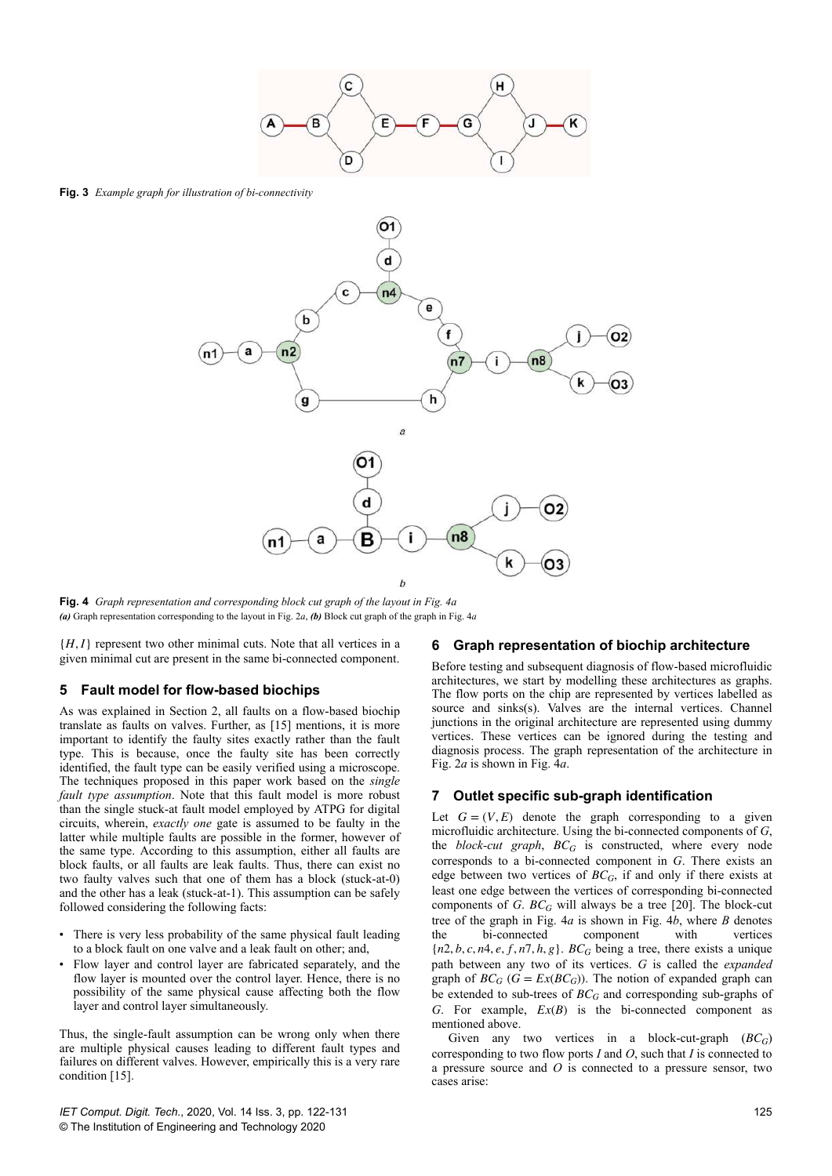

**Fig. 3** *Example graph for illustration of bi-connectivity*



**Fig. 4** *Graph representation and corresponding block cut graph of the layout in Fig. 4a (a)* Graph representation corresponding to the layout in Fig. 2*a*, *(b)* Block cut graph of the graph in Fig. 4*a*

{*H*, *I*} represent two other minimal cuts. Note that all vertices in a given minimal cut are present in the same bi-connected component.

#### **5 Fault model for flow-based biochips**

As was explained in Section 2, all faults on a flow-based biochip translate as faults on valves. Further, as [15] mentions, it is more important to identify the faulty sites exactly rather than the fault type. This is because, once the faulty site has been correctly identified, the fault type can be easily verified using a microscope. The techniques proposed in this paper work based on the *single fault type assumption*. Note that this fault model is more robust than the single stuck-at fault model employed by ATPG for digital circuits, wherein, *exactly one* gate is assumed to be faulty in the latter while multiple faults are possible in the former, however of the same type. According to this assumption, either all faults are block faults, or all faults are leak faults. Thus, there can exist no two faulty valves such that one of them has a block (stuck-at-0) and the other has a leak (stuck-at-1). This assumption can be safely followed considering the following facts:

- There is very less probability of the same physical fault leading to a block fault on one valve and a leak fault on other; and,
- Flow layer and control layer are fabricated separately, and the flow layer is mounted over the control layer. Hence, there is no possibility of the same physical cause affecting both the flow layer and control layer simultaneously.

Thus, the single-fault assumption can be wrong only when there are multiple physical causes leading to different fault types and failures on different valves. However, empirically this is a very rare condition [15].

#### *IET Comput. Digit. Tech.*, 2020, Vol. 14 Iss. 3, pp. 122-131 © The Institution of Engineering and Technology 2020

#### **6 Graph representation of biochip architecture**

Before testing and subsequent diagnosis of flow-based microfluidic architectures, we start by modelling these architectures as graphs. The flow ports on the chip are represented by vertices labelled as source and sinks(s). Valves are the internal vertices. Channel junctions in the original architecture are represented using dummy vertices. These vertices can be ignored during the testing and diagnosis process. The graph representation of the architecture in Fig. 2*a* is shown in Fig. 4*a*.

#### **7 Outlet specific sub-graph identification**

Let  $G = (V, E)$  denote the graph corresponding to a given microfluidic architecture. Using the bi-connected components of *G*, the *block-cut graph*, *BCG* is constructed, where every node corresponds to a bi-connected component in *G*. There exists an edge between two vertices of *BCG*, if and only if there exists at least one edge between the vertices of corresponding bi-connected components of *G*. *BCG* will always be a tree [20]. The block-cut tree of the graph in Fig. 4*a* is shown in Fig. 4*b*, where *B* denotes the bi-connected component with vertices  ${n2, b, c, n4, e, f, n7, h, g}$ . *BC<sub>G</sub>* being a tree, there exists a unique path between any two of its vertices. *G* is called the *expanded* graph of  $BC_G$  ( $G = Ex(BC_G)$ ). The notion of expanded graph can be extended to sub-trees of *BCG* and corresponding sub-graphs of *G*. For example, *Ex*(*B*) is the bi-connected component as mentioned above.

Given any two vertices in a block-cut-graph (*BCG*) corresponding to two flow ports *I* and *O*, such that *I* is connected to a pressure source and *O* is connected to a pressure sensor, two cases arise: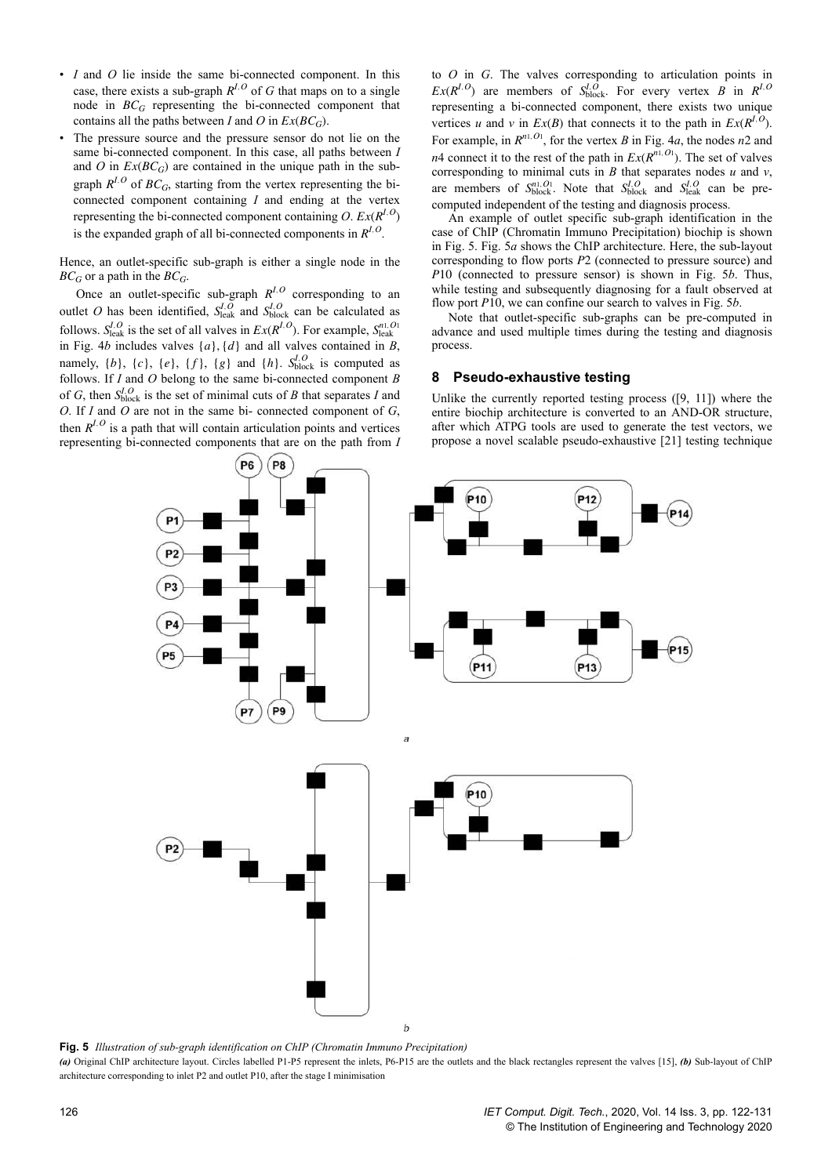- *I* and *O* lie inside the same bi-connected component. In this case, there exists a sub-graph  $R^{I,O}$  of *G* that maps on to a single node in  $BC_G$  representing the bi-connected component that contains all the paths between *I* and *O* in  $Ex(BC_G)$ .
- The pressure source and the pressure sensor do not lie on the same bi-connected component. In this case, all paths between *I* and *O* in  $Ex(BC_G)$  are contained in the unique path in the subgraph  $R^{I,O}$  of  $BC_G$ , starting from the vertex representing the biconnected component containing *I* and ending at the vertex representing the bi-connected component containing  $O$ .  $Ex(R^{I,O})$ is the expanded graph of all bi-connected components in  $R^{I,O}$ .

Hence, an outlet-specific sub-graph is either a single node in the  $BC_G$  or a path in the  $BC_G$ .

Once an outlet-specific sub-graph  $R^{I,O}$  corresponding to an outlet *O* has been identified,  $S_{\text{leak}}^{I,O}$  and  $S_{\text{block}}^{I,O}$  can be calculated as follows.  $S_{\text{leak}}^{I,O}$  is the set of all valves in  $Ex(R^{I,O})$ . For example,  $S_{\text{leak}}^{n1,O1}$ in Fig. 4*b* includes valves  $\{a\}$ ,  $\{d\}$  and all valves contained in *B*, namely,  $\{b\}$ ,  $\{c\}$ ,  $\{e\}$ ,  $\{f\}$ ,  $\{g\}$  and  $\{h\}$ .  $S_{block}^{I,O}$  is computed as follows. If *I* and *O* belong to the same bi-connected component *B* of *G*, then  $S_{block}^{I,O}$  is the set of minimal cuts of *B* that separates *I* and *O*. If *I* and *O* are not in the same bi- connected component of *G*, then  $R^{I,O}$  is a path that will contain articulation points and vertices representing bi-connected components that are on the path from *I* to *O* in *G*. The valves corresponding to articulation points in *Ex*( $R^{I,O}$ ) are members of  $S^{I,O}_{block}$ . For every vertex *B* in  $R^{I,O}$ representing a bi-connected component, there exists two unique vertices *u* and *v* in  $Ex(B)$  that connects it to the path in  $Ex(R^{I,O})$ . For example, in  $R^{n1,01}$ , for the vertex *B* in Fig. 4*a*, the nodes *n*2 and *n*4 connect it to the rest of the path in  $Ex(R^{n1,01})$ . The set of valves corresponding to minimal cuts in *B* that separates nodes  $u$  and  $v$ , are members of  $S_{block}^{n1,01}$ . Note that  $S_{block}^{I,0}$  and  $S_{leak}^{I,0}$  can be precomputed independent of the testing and diagnosis process.

An example of outlet specific sub-graph identification in the case of ChIP (Chromatin Immuno Precipitation) biochip is shown in Fig. 5. Fig. 5*a* shows the ChIP architecture. Here, the sub-layout corresponding to flow ports *P*2 (connected to pressure source) and *P*10 (connected to pressure sensor) is shown in Fig. 5*b*. Thus, while testing and subsequently diagnosing for a fault observed at flow port *P*10, we can confine our search to valves in Fig. 5*b*.

Note that outlet-specific sub-graphs can be pre-computed in advance and used multiple times during the testing and diagnosis process.

#### **8 Pseudo-exhaustive testing**

Unlike the currently reported testing process ([9, 11]) where the entire biochip architecture is converted to an AND-OR structure, after which ATPG tools are used to generate the test vectors, we propose a novel scalable pseudo-exhaustive [21] testing technique



**Fig. 5** *Illustration of sub-graph identification on ChIP (Chromatin Immuno Precipitation)*

*(a)* Original ChIP architecture layout. Circles labelled P1-P5 represent the inlets, P6-P15 are the outlets and the black rectangles represent the valves [15], *(b)* Sub-layout of ChIP architecture corresponding to inlet P2 and outlet P10, after the stage I minimisation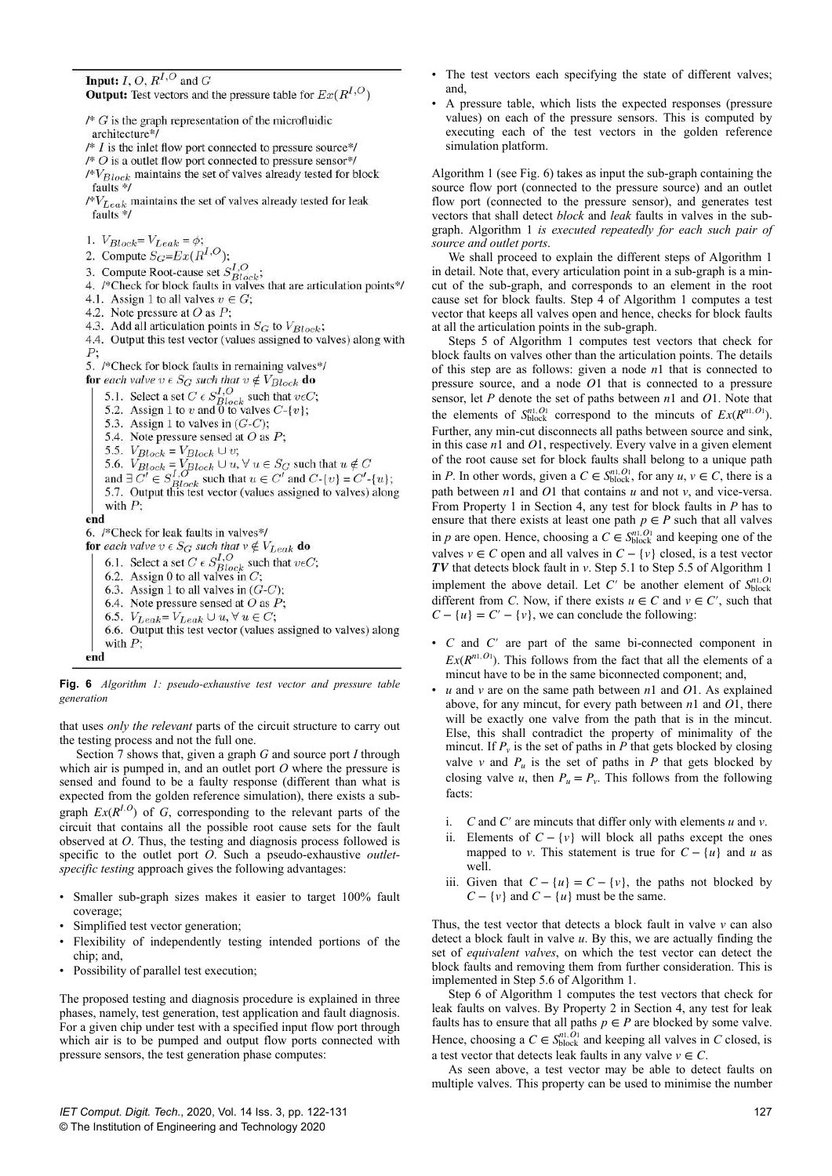**Input:**  $I, O, R^{I,O}$  and  $G$ **Output:** Test vectors and the pressure table for  $Ex(R^{I,O})$ 

 $\sqrt{*} G$  is the graph representation of the microfluidic

architecture\*/

- $/* I$  is the inlet flow port connected to pressure source\*/
- /\*  $O$  is a outlet flow port connected to pressure sensor\*/
- $/N$ <sub>Block</sub> maintains the set of valves already tested for block faults  $*/$
- $/N/L_{eak}$  maintains the set of valves already tested for leak faults \*/

1.  $V_{Block} = V_{Leak} = \phi;$ 

- 2. Compute  $S_G=Ex(R^{I,O})$ ;
- 

3. Compute  $Bg = Bx(Tt)$ ,<br>3. Compute Root-cause set  $S_{Block}^{I,O}$ ;<br>4. /\*Check for block faults in valves that are articulation points\*/ 4.1. Assign 1 to all valves  $v \in G$ ;

- 4.2. Note pressure at  $O$  as  $P$ ;
- 4.3. Add all articulation points in  $S_G$  to  $V_{Block}$ ;

4.4. Output this test vector (values assigned to valves) along with  $P;$ 

5. /\*Check for block faults in remaining valves\*/

**for** each valve  $v \in S_G$  such that  $v \notin V_{Block}$  **do** 

5.1. Select a set  $C \in S_{Block}^{1,O}$ <br>5.2. Assign 1 to v and 0 to valves  $C-\{v\}$ ;

- 
- 5.3. Assign 1 to valves in  $(G-C)$ ;
- 5.4. Note pressure sensed at  $O$  as  $P$ ;
- 5.5.  $V_{Block} = V_{Block} \cup v;$

5.3.  $VBlock = VBlock \cup v$ ,<br>
5.6.  $VBlock = VBlock \cup u$ ,  $\forall u \in S_G$  such that  $u \notin C$ <br>
and  $\exists C' \in S_{Block}^{I, O}$  such that  $u \in C'$  and  $C\{v\} = C'\{u\}$ ;<br>
5.7. Output this test vector (values assigned to valves) along

- 
- with  $P$ ;
- end

6. /\*Check for leak faults in valves\*/

- for each valve  $v \in S_G$  such that  $v \notin V_{Leak}$  do
	- 6.1. Select a set  $C \in S_{Block}^{1,Q}$  such that  $v \in C$ ;<br>6.2. Assign 0 to all valves in  $C$ ;
	-
	- 6.3. Assign 1 to all valves in  $(G-C)$ ;
	- 6.4. Note pressure sensed at  $O$  as  $P$ ;
	- 6.5.  $V_{Leak} = V_{Leak} \cup u, \forall u \in C;$
- 6.6. Output this test vector (values assigned to valves) along with  $P$ ; end

**Fig. 6** *Algorithm 1: pseudo-exhaustive test vector and pressure table generation*

that uses *only the relevant* parts of the circuit structure to carry out the testing process and not the full one.

Section 7 shows that, given a graph *G* and source port *I* through which air is pumped in, and an outlet port O where the pressure is sensed and found to be a faulty response (different than what is expected from the golden reference simulation), there exists a subgraph  $Ex(R^{I,O})$  of *G*, corresponding to the relevant parts of the circuit that contains all the possible root cause sets for the fault observed at *O*. Thus, the testing and diagnosis process followed is specific to the outlet port *O*. Such a pseudo-exhaustive *outletspecific testing* approach gives the following advantages:

- Smaller sub-graph sizes makes it easier to target 100% fault coverage;
- Simplified test vector generation:
- Flexibility of independently testing intended portions of the chip; and,
- Possibility of parallel test execution;

The proposed testing and diagnosis procedure is explained in three phases, namely, test generation, test application and fault diagnosis. For a given chip under test with a specified input flow port through which air is to be pumped and output flow ports connected with pressure sensors, the test generation phase computes:

- The test vectors each specifying the state of different valves; and,
- A pressure table, which lists the expected responses (pressure values) on each of the pressure sensors. This is computed by executing each of the test vectors in the golden reference simulation platform.

Algorithm 1 (see Fig. 6) takes as input the sub-graph containing the source flow port (connected to the pressure source) and an outlet flow port (connected to the pressure sensor), and generates test vectors that shall detect *block* and *leak* faults in valves in the subgraph. Algorithm 1 *is executed repeatedly for each such pair of source and outlet ports*.

We shall proceed to explain the different steps of Algorithm 1 in detail. Note that, every articulation point in a sub-graph is a mincut of the sub-graph, and corresponds to an element in the root cause set for block faults. Step  $\overline{4}$  of Algorithm 1 computes a test vector that keeps all valves open and hence, checks for block faults at all the articulation points in the sub-graph.

Steps 5 of Algorithm 1 computes test vectors that check for block faults on valves other than the articulation points. The details of this step are as follows: given a node *n*1 that is connected to pressure source, and a node *O*1 that is connected to a pressure sensor, let *P* denote the set of paths between *n*1 and *O*1. Note that the elements of  $S_{\text{block}}^{n_1, O_1}$  correspond to the mincuts of  $Ex(R^{n_1, O_1})$ . Further, any min-cut disconnects all paths between source and sink, in this case *n*1 and *O*1, respectively. Every valve in a given element of the root cause set for block faults shall belong to a unique path in *P*. In other words, given a  $C \in S^{n1,01}_{block}$ , for any  $u, v \in C$ , there is a path between *n*1 and *O*1 that contains *u* and not *v*, and vice-versa. From Property 1 in Section 4, any test for block faults in *P* has to ensure that there exists at least one path  $p \in P$  such that all valves in *p* are open. Hence, choosing a  $C \in S_{block}^{n1, O_1}$  and keeping one of the valves  $v \in C$  open and all valves in  $C - \{v\}$  closed, is a test vector *TV* that detects block fault in *v*. Step 5.1 to Step 5.5 of Algorithm 1 implement the above detail. Let  $C'$  be another element of  $S_{\text{block}}^{n1,01}$ different from *C*. Now, if there exists  $u \in C$  and  $v \in C'$ , such that  $C - \{u\} = C' - \{v\}$ , we can conclude the following:

- *C* and *C*′ are part of the same bi-connected component in  $Ex(R^{n1,01})$ . This follows from the fact that all the elements of a mincut have to be in the same biconnected component; and,
- *u* and *v* are on the same path between *n*1 and *O*1. As explained above, for any mincut, for every path between *n*1 and *O*1, there will be exactly one valve from the path that is in the mincut. Else, this shall contradict the property of minimality of the mincut. If  $P_v$  is the set of paths in  $P$  that gets blocked by closing valve *v* and  $P_u$  is the set of paths in *P* that gets blocked by closing valve *u*, then  $P_u = P_v$ . This follows from the following facts:
	- i. *C* and *C*′ are mincuts that differ only with elements *u* and *v*.
	- ii. Elements of  $C \{v\}$  will block all paths except the ones mapped to *v*. This statement is true for  $C - \{u\}$  and *u* as well.
	- iii. Given that  $C \{u\} = C \{v\}$ , the paths not blocked by  $C - \{v\}$  and  $C - \{u\}$  must be the same.

Thus, the test vector that detects a block fault in valve  $\nu$  can also detect a block fault in valve *u*. By this, we are actually finding the set of *equivalent valves*, on which the test vector can detect the block faults and removing them from further consideration. This is implemented in Step 5.6 of Algorithm 1.

Step 6 of Algorithm 1 computes the test vectors that check for leak faults on valves. By Property 2 in Section 4, any test for leak faults has to ensure that all paths  $p \in P$  are blocked by some valve. Hence, choosing a  $C \in S^{n1, O_1}_{block}$  and keeping all valves in *C* closed, is a test vector that detects leak faults in any valve  $v \in C$ .

As seen above, a test vector may be able to detect faults on multiple valves. This property can be used to minimise the number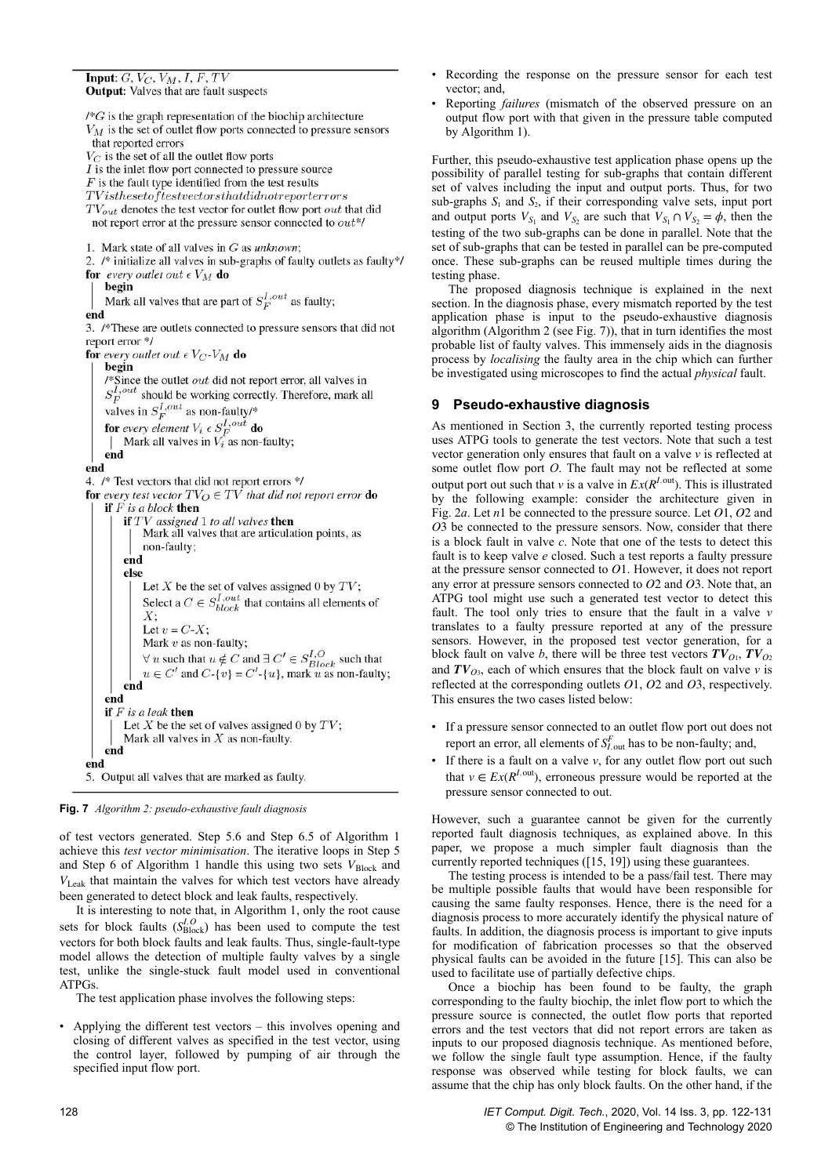```
Input: G, V_C, V_M, I, F, TVOutput: Valves that are fault suspects
```

```
\sqrt{*}G is the graph representation of the biochip architecture
V_M is the set of outlet flow ports connected to pressure sensors
 that reported errors
V_C is the set of all the outlet flow ports
I is the inlet flow port connected to pressure source
F is the fault type identified from the test results
TV is the set of test vectors that did not report errorsTV_{out} denotes the test vector for outlet flow port out that did
 not report error at the pressure sensor connected to out*/
1. Mark state of all valves in G as unknown;
2. /* initialize all valves in sub-graphs of faulty outlets as faulty*/
for every outlet out \epsilon V_M do
    begin
    Mark all valves that are part of S_E^{I,out} as faulty;
end
3. /*These are outlets connected to pressure sensors that did not
report error */
for every outlet out \epsilon V_C-V_M do
    begin
    /* Since the outlet out did not report error, all valves in
    S_E^{I,out} should be working correctly. Therefore, mark all
    S_F should be working correct<br>valves in S_F^{I,out} as non-faulty/*<br>for every element V_i \in S_F^{I,out} do<br>\Delta Mark all valves in V_i as non-1
        Mark all valves in V_i as non-faulty;
    end
end
4. /* Test vectors that did not report errors */
for every test vector TV_O \in TV that did not report error do
    if F is a block then
         if TV assigned 1 to all valves then
              Mark all valves that are articulation points, as
              non-faulty;
         end
         else
              Let X be the set of valves assigned 0 by TV;
             Select a C \in S_{block}^{I,out} that contains all elements of
              X:
              Let v = C-X;
              Mark v as non-faulty;
             \forall u such that u \notin C and \exists C' \in S_{Block}^{I,O} such that<br>
u \in C' and C-{v} = C'-{u}, mark u as non-faulty;
         end
    end
    if F is a leak then
         Let X be the set of valves assigned 0 by TV;
         Mark all valves in X as non-faulty.
    end
end
5. Output all valves that are marked as faulty.
```


of test vectors generated. Step 5.6 and Step 6.5 of Algorithm 1 achieve this *test vector minimisation*. The iterative loops in Step 5 and Step 6 of Algorithm 1 handle this using two sets  $V_{Block}$  and *V*Leak that maintain the valves for which test vectors have already been generated to detect block and leak faults, respectively.

It is interesting to note that, in Algorithm 1, only the root cause sets for block faults  $(S_{Block}^{I,O})$  has been used to compute the test vectors for both block faults and leak faults. Thus, single-fault-type model allows the detection of multiple faulty valves by a single test, unlike the single-stuck fault model used in conventional ATPGs.

The test application phase involves the following steps:

• Applying the different test vectors – this involves opening and closing of different valves as specified in the test vector, using the control layer, followed by pumping of air through the specified input flow port.

• Reporting *failures* (mismatch of the observed pressure on an output flow port with that given in the pressure table computed by Algorithm 1).

Further, this pseudo-exhaustive test application phase opens up the possibility of parallel testing for sub-graphs that contain different set of valves including the input and output ports. Thus, for two sub-graphs  $S_1$  and  $S_2$ , if their corresponding valve sets, input port and output ports  $V_{S_1}$  and  $V_{S_2}$  are such that  $V_{S_1} \cap V_{S_2} = \phi$ , then the testing of the two sub-graphs can be done in parallel. Note that the set of sub-graphs that can be tested in parallel can be pre-computed once. These sub-graphs can be reused multiple times during the testing phase.

The proposed diagnosis technique is explained in the next section. In the diagnosis phase, every mismatch reported by the test application phase is input to the pseudo-exhaustive diagnosis algorithm (Algorithm 2 (see Fig. 7)), that in turn identifies the most probable list of faulty valves. This immensely aids in the diagnosis process by *localising* the faulty area in the chip which can further be investigated using microscopes to find the actual *physical* fault.

# **9 Pseudo-exhaustive diagnosis**

As mentioned in Section 3, the currently reported testing process uses ATPG tools to generate the test vectors. Note that such a test vector generation only ensures that fault on a valve *v* is reflected at some outlet flow port *O*. The fault may not be reflected at some output port out such that *v* is a valve in  $Ex(R^{I,\text{out}})$ . This is illustrated by the following example: consider the architecture given in Fig. 2*a*. Let *n*1 be connected to the pressure source. Let *O*1, *O*2 and *O*3 be connected to the pressure sensors. Now, consider that there is a block fault in valve *c*. Note that one of the tests to detect this fault is to keep valve *e* closed. Such a test reports a faulty pressure at the pressure sensor connected to *O*1. However, it does not report any error at pressure sensors connected to *O*2 and *O*3. Note that, an ATPG tool might use such a generated test vector to detect this fault. The tool only tries to ensure that the fault in a valve *v* translates to a faulty pressure reported at any of the pressure sensors. However, in the proposed test vector generation, for a block fault on valve *b*, there will be three test vectors  $TV_{O1}$ ,  $TV_{O2}$ and  $TV_{O3}$ , each of which ensures that the block fault on valve *v* is reflected at the corresponding outlets *O*1, *O*2 and *O*3, respectively. This ensures the two cases listed below:

- If a pressure sensor connected to an outlet flow port out does not report an error, all elements of  $S_{I,\text{out}}^F$  has to be non-faulty; and,
- If there is a fault on a valve  $v$ , for any outlet flow port out such that  $v \in Ex(R^{I,\text{out}})$ , erroneous pressure would be reported at the pressure sensor connected to out.

However, such a guarantee cannot be given for the currently reported fault diagnosis techniques, as explained above. In this paper, we propose a much simpler fault diagnosis than the currently reported techniques ([15, 19]) using these guarantees.

The testing process is intended to be a pass/fail test. There may be multiple possible faults that would have been responsible for causing the same faulty responses. Hence, there is the need for a diagnosis process to more accurately identify the physical nature of faults. In addition, the diagnosis process is important to give inputs for modification of fabrication processes so that the observed physical faults can be avoided in the future [15]. This can also be used to facilitate use of partially defective chips.

Once a biochip has been found to be faulty, the graph corresponding to the faulty biochip, the inlet flow port to which the pressure source is connected, the outlet flow ports that reported errors and the test vectors that did not report errors are taken as inputs to our proposed diagnosis technique. As mentioned before, we follow the single fault type assumption. Hence, if the faulty response was observed while testing for block faults, we can assume that the chip has only block faults. On the other hand, if the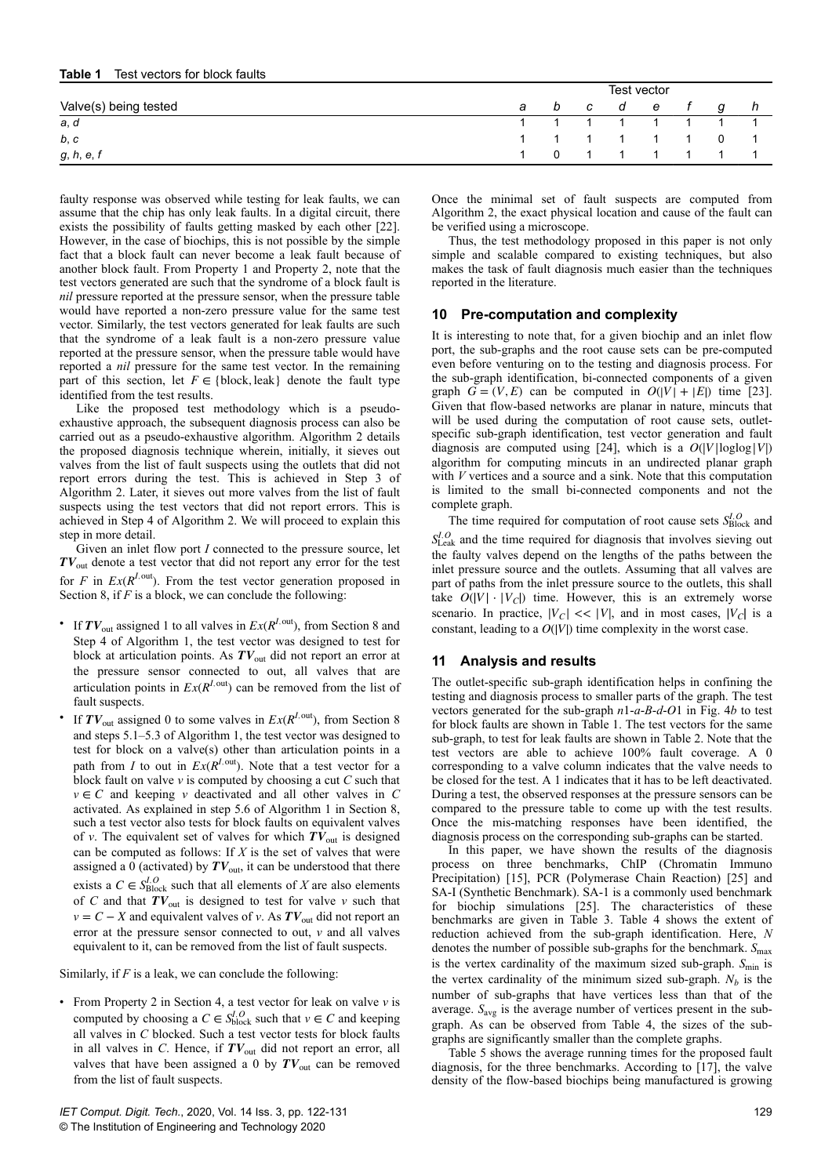#### **Table 1** Test vectors for block faults

|                       | Test vector |     |  |               |  |  |   |                 |
|-----------------------|-------------|-----|--|---------------|--|--|---|-----------------|
| Valve(s) being tested |             | a b |  | c de f        |  |  | a |                 |
| a, d                  |             |     |  | 1 1 1 1 1 1 1 |  |  |   |                 |
| b, c                  |             |     |  |               |  |  |   | 1 1 1 1 1 1 0 1 |
| g, h, e, f            |             |     |  | 0 1 1 1 1 1 1 |  |  |   |                 |

faulty response was observed while testing for leak faults, we can assume that the chip has only leak faults. In a digital circuit, there exists the possibility of faults getting masked by each other [22]. However, in the case of biochips, this is not possible by the simple fact that a block fault can never become a leak fault because of another block fault. From Property 1 and Property 2, note that the test vectors generated are such that the syndrome of a block fault is *nil* pressure reported at the pressure sensor, when the pressure table would have reported a non-zero pressure value for the same test vector. Similarly, the test vectors generated for leak faults are such that the syndrome of a leak fault is a non-zero pressure value reported at the pressure sensor, when the pressure table would have reported a *nil* pressure for the same test vector. In the remaining part of this section, let  $F \in \{block, leak\}$  denote the fault type identified from the test results.

Like the proposed test methodology which is a pseudoexhaustive approach, the subsequent diagnosis process can also be carried out as a pseudo-exhaustive algorithm. Algorithm 2 details the proposed diagnosis technique wherein, initially, it sieves out valves from the list of fault suspects using the outlets that did not report errors during the test. This is achieved in Step 3 of Algorithm 2. Later, it sieves out more valves from the list of fault suspects using the test vectors that did not report errors. This is achieved in Step 4 of Algorithm 2. We will proceed to explain this step in more detail.

Given an inlet flow port *I* connected to the pressure source, let *TV*out denote a test vector that did not report any error for the test for *F* in  $Ex(R^{I,\text{out}})$ . From the test vector generation proposed in Section 8, if *F* is a block, we can conclude the following:

- If  $TV_{\text{out}}$  assigned 1 to all valves in  $Ex(R^{I,\text{out}})$ , from Section 8 and Step 4 of Algorithm 1, the test vector was designed to test for block at articulation points. As  $TV_{out}$  did not report an error at the pressure sensor connected to out, all valves that are articulation points in  $Ex(R^{I,\text{out}})$  can be removed from the list of fault suspects.
- If  $TV_{\text{out}}$  assigned 0 to some valves in  $Ex(R^{I,\text{out}})$ , from Section 8 and steps 5.1–5.3 of Algorithm 1, the test vector was designed to test for block on a valve(s) other than articulation points in a path from *I* to out in  $Ex(R^{I,\text{out}})$ . Note that a test vector for a block fault on valve *v* is computed by choosing a cut *C* such that  $v \in C$  and keeping *v* deactivated and all other valves in *C* activated. As explained in step 5.6 of Algorithm 1 in Section 8, such a test vector also tests for block faults on equivalent valves of *v*. The equivalent set of valves for which  $TV_{out}$  is designed can be computed as follows: If *X* is the set of valves that were assigned a  $\hat{0}$  (activated) by  $TV_{\text{out}}$ , it can be understood that there exists a  $C \in S^{I,O}_{\text{Block}}$  such that all elements of *X* are also elements of *C* and that  $TV_{out}$  is designed to test for valve *v* such that  $v = C - X$  and equivalent valves of *v*. As  $TV_{out}$  did not report an error at the pressure sensor connected to out, *v* and all valves equivalent to it, can be removed from the list of fault suspects.

Similarly, if *F* is a leak, we can conclude the following:

• From Property 2 in Section 4, a test vector for leak on valve *v* is computed by choosing a  $C \in S_{block}^{I,O}$  such that  $v \in C$  and keeping all valves in *C* blocked. Such a test vector tests for block faults in all valves in  $C$ . Hence, if  $TV_{out}$  did not report an error, all valves that have been assigned a 0 by  $TV_{\text{out}}$  can be removed from the list of fault suspects.

Once the minimal set of fault suspects are computed from Algorithm 2, the exact physical location and cause of the fault can be verified using a microscope.

Thus, the test methodology proposed in this paper is not only simple and scalable compared to existing techniques, but also makes the task of fault diagnosis much easier than the techniques reported in the literature.

## **10 Pre-computation and complexity**

It is interesting to note that, for a given biochip and an inlet flow port, the sub-graphs and the root cause sets can be pre-computed even before venturing on to the testing and diagnosis process. For the sub-graph identification, bi-connected components of a given graph  $G = (V, E)$  can be computed in  $O(|V| + |E|)$  time [23]. Given that flow-based networks are planar in nature, mincuts that will be used during the computation of root cause sets, outletspecific sub-graph identification, test vector generation and fault diagnosis are computed using [24], which is a  $O(|V| \log \log |V|)$ algorithm for computing mincuts in an undirected planar graph with *V* vertices and a source and a sink. Note that this computation is limited to the small bi-connected components and not the complete graph.

The time required for computation of root cause sets  $S_{Block}^{I, O}$  and  $S_{\text{Leak}}^{I,O}$  and the time required for diagnosis that involves sieving out the faulty valves depend on the lengths of the paths between the inlet pressure source and the outlets. Assuming that all valves are part of paths from the inlet pressure source to the outlets, this shall take  $O(|V| \cdot |V_C|)$  time. However, this is an extremely worse scenario. In practice,  $|V_C| \ll |V|$ , and in most cases,  $|V_C|$  is a constant, leading to a  $O(|V|)$  time complexity in the worst case.

# **11 Analysis and results**

The outlet-specific sub-graph identification helps in confining the testing and diagnosis process to smaller parts of the graph. The test vectors generated for the sub-graph *n*1-*a*-*B*-*d*-*O*1 in Fig. 4*b* to test for block faults are shown in Table 1. The test vectors for the same sub-graph, to test for leak faults are shown in Table 2. Note that the test vectors are able to achieve 100% fault coverage. A 0 corresponding to a valve column indicates that the valve needs to be closed for the test. A 1 indicates that it has to be left deactivated. During a test, the observed responses at the pressure sensors can be compared to the pressure table to come up with the test results. Once the mis-matching responses have been identified, the diagnosis process on the corresponding sub-graphs can be started.

In this paper, we have shown the results of the diagnosis process on three benchmarks, ChIP (Chromatin Immuno Precipitation) [15], PCR (Polymerase Chain Reaction) [25] and SA-I (Synthetic Benchmark). SA-1 is a commonly used benchmark for biochip simulations [25]. The characteristics of these benchmarks are given in Table 3. Table 4 shows the extent of reduction achieved from the sub-graph identification. Here, *N* denotes the number of possible sub-graphs for the benchmark.  $S_{\text{max}}$ is the vertex cardinality of the maximum sized sub-graph.  $S_{\text{min}}$  is the vertex cardinality of the minimum sized sub-graph.  $N_b$  is the number of sub-graphs that have vertices less than that of the average. *S*avg is the average number of vertices present in the subgraph. As can be observed from Table 4, the sizes of the subgraphs are significantly smaller than the complete graphs.

Table 5 shows the average running times for the proposed fault diagnosis, for the three benchmarks. According to [17], the valve density of the flow-based biochips being manufactured is growing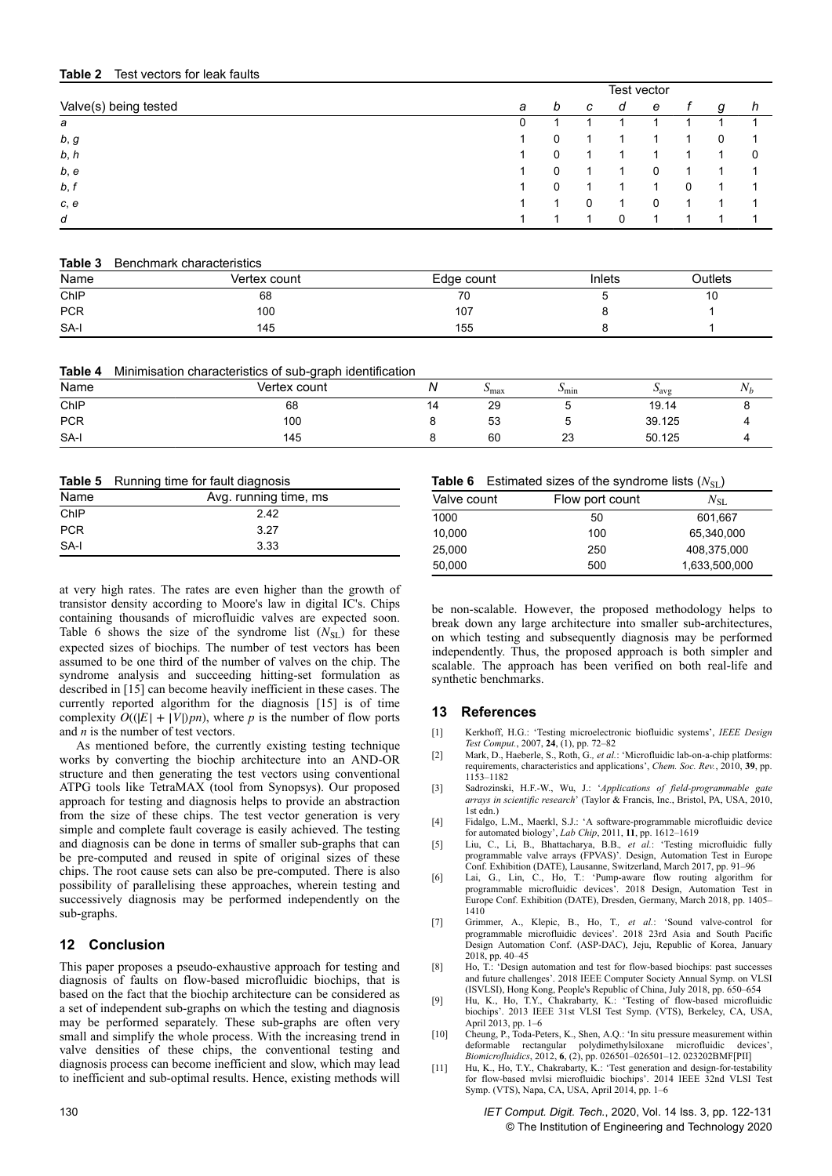#### **Table 2** Test vectors for leak faults

|                       | Test vector |          |   |   |   |   |   |   |
|-----------------------|-------------|----------|---|---|---|---|---|---|
| Valve(s) being tested | а           | b        | C | a | e |   | g | h |
| а                     | 0           |          |   |   |   |   |   |   |
| b, g                  | 1           | $\Omega$ | 1 |   |   |   | 0 |   |
| b, h                  |             | 0        |   |   |   |   | и | 0 |
| b, e                  |             | 0        |   |   | 0 |   |   |   |
| b, f                  |             | 0        |   |   |   | 0 | ٠ |   |
| c, e                  |             |          | 0 |   | 0 |   |   |   |
| d                     |             | ٠        |   | 0 |   |   | ٠ |   |

#### **Table 3** Benchmark characteristics

| Name       | Vertex count | Edge count | Inlets | Outlets |
|------------|--------------|------------|--------|---------|
| CnIP       | 68           | 70         |        | 10      |
| <b>PCR</b> | 100          | 107        |        |         |
| SA-I       | 145          | 155        |        |         |

|  |  | Table 4 Minimisation characteristics of sub-graph identification |  |  |
|--|--|------------------------------------------------------------------|--|--|
|--|--|------------------------------------------------------------------|--|--|

| Name       | Vertex count | Ν  | $\cup$ max | $\mathcal{P}_{\text{min}}$ | $u_{\text{avg}}$ | ъT<br>$N_h$ |
|------------|--------------|----|------------|----------------------------|------------------|-------------|
| ChIP       | 68           | 14 | 29         |                            | 19.14            | ∼           |
| <b>PCR</b> | 100          |    | 53         |                            | 39.125           |             |
| SA-I       | 145          |    | 60         | 23                         | 50.125           |             |

|            | <b>Table 5</b> Running time for fault diagnosis |  |  |  |
|------------|-------------------------------------------------|--|--|--|
| Name       | Avg. running time, ms                           |  |  |  |
| ChIP       | 242                                             |  |  |  |
| <b>PCR</b> | 3.27                                            |  |  |  |
| SA-I       | 3.33                                            |  |  |  |

at very high rates. The rates are even higher than the growth of transistor density according to Moore's law in digital IC's. Chips containing thousands of microfluidic valves are expected soon. Table 6 shows the size of the syndrome list  $(N_{SL})$  for these expected sizes of biochips. The number of test vectors has been assumed to be one third of the number of valves on the chip. The syndrome analysis and succeeding hitting-set formulation as described in [15] can become heavily inefficient in these cases. The currently reported algorithm for the diagnosis [15] is of time complexity  $O((|E| + |V|)pn)$ , where *p* is the number of flow ports and *n* is the number of test vectors.

As mentioned before, the currently existing testing technique works by converting the biochip architecture into an AND-OR structure and then generating the test vectors using conventional ATPG tools like TetraMAX (tool from Synopsys). Our proposed approach for testing and diagnosis helps to provide an abstraction from the size of these chips. The test vector generation is very simple and complete fault coverage is easily achieved. The testing and diagnosis can be done in terms of smaller sub-graphs that can be pre-computed and reused in spite of original sizes of these chips. The root cause sets can also be pre-computed. There is also possibility of parallelising these approaches, wherein testing and successively diagnosis may be performed independently on the sub-graphs.

# **12 Conclusion**

This paper proposes a pseudo-exhaustive approach for testing and diagnosis of faults on flow-based microfluidic biochips, that is based on the fact that the biochip architecture can be considered as a set of independent sub-graphs on which the testing and diagnosis may be performed separately. These sub-graphs are often very small and simplify the whole process. With the increasing trend in valve densities of these chips, the conventional testing and diagnosis process can become inefficient and slow, which may lead to inefficient and sub-optimal results. Hence, existing methods will

#### **Table 6** Estimated sizes of the syndrome lists  $(N_{\rm{SL}})$

| Valve count | Flow port count | $N_{\rm SI}$  |
|-------------|-----------------|---------------|
| 1000        | 50              | 601,667       |
| 10,000      | 100             | 65.340.000    |
| 25,000      | 250             | 408,375,000   |
| 50,000      | 500             | 1,633,500,000 |

be non-scalable. However, the proposed methodology helps to break down any large architecture into smaller sub-architectures, on which testing and subsequently diagnosis may be performed independently. Thus, the proposed approach is both simpler and scalable. The approach has been verified on both real-life and synthetic benchmarks.

#### **13 References**

- [1] Kerkhoff, H.G.: 'Testing microelectronic biofluidic systems', *IEEE Design Test Comput.*, 2007, **24**, (1), pp. 72–82
- [2] Mark, D., Haeberle, S., Roth, G.*, et al.*: 'Microfluidic lab-on-a-chip platforms: requirements, characteristics and applications', *Chem. Soc. Rev.*, 2010, **39**, pp. 1153–1182
- [3] Sadrozinski, H.F.-W., Wu, J.: '*Applications of field-programmable gate arrays in scientific research*' (Taylor & Francis, Inc., Bristol, PA, USA, 2010, 1st edn.)
- [4] Fidalgo, L.M., Maerkl, S.J.: 'A software-programmable microfluidic device for automated biology', *Lab Chip*, 2011, **11**, pp. 1612–1619
- [5] Liu, C., Li, B., Bhattacharya, B.B.*, et al.*: 'Testing microfluidic fully programmable valve arrays (FPVAS)'. Design, Automation Test in Europe Conf. Exhibition (DATE), Lausanne, Switzerland, March 2017, pp. 91–96
- [6] Lai, G., Lin, C., Ho, T.: 'Pump-aware flow routing algorithm for programmable microfluidic devices'. 2018 Design, Automation Test in Europe Conf. Exhibition (DATE), Dresden, Germany, March 2018, pp. 1405– 1410
- [7] Grimmer, A., Klepic, B., Ho, T.*, et al.*: 'Sound valve-control for programmable microfluidic devices'. 2018 23rd Asia and South Pacific Design Automation Conf. (ASP-DAC), Jeju, Republic of Korea, January 2018, pp. 40–45
- [8] Ho, T.: 'Design automation and test for flow-based biochips: past successes and future challenges'. 2018 IEEE Computer Society Annual Symp. on VLSI (ISVLSI), Hong Kong, People's Republic of China, July 2018, pp. 650–654
- [9] Hu, K., Ho, T.Y., Chakrabarty, K.: 'Testing of flow-based microfluidic biochips'. 2013 IEEE 31st VLSI Test Symp. (VTS), Berkeley, CA, USA, April 2013, pp. 1–6
- [10] Cheung, P., Toda-Peters, K., Shen, A.Q.: 'In situ pressure measurement within deformable rectangular polydimethylsiloxane microfluidic devices', *Biomicrofluidics*, 2012, **6**, (2), pp. 026501–026501–12. 023202BMF[PII]
- [11] Hu, K., Ho, T.Y., Chakrabarty, K.: 'Test generation and design-for-testability for flow-based mvlsi microfluidic biochips'. 2014 IEEE 32nd VLSI Test Symp. (VTS), Napa, CA, USA, April 2014, pp. 1–6

130 *IET Comput. Digit. Tech.*, 2020, Vol. 14 Iss. 3, pp. 122-131 © The Institution of Engineering and Technology 2020